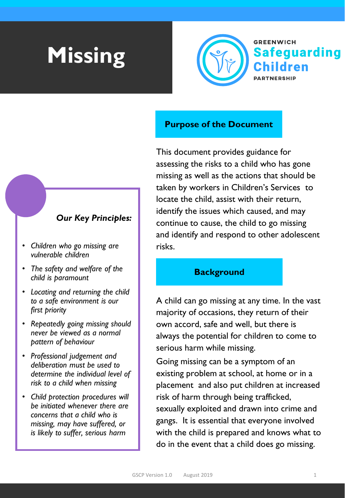# **Missing**



#### **Purpose of the Document**

This document provides guidance for assessing the risks to a child who has gone missing as well as the actions that should be taken by workers in Children's Services to locate the child, assist with their return, identify the issues which caused, and may continue to cause, the child to go missing and identify and respond to other adolescent risks.

#### **Background**

A child can go missing at any time. In the vast majority of occasions, they return of their own accord, safe and well, but there is always the potential for children to come to serious harm while missing.

Going missing can be a symptom of an existing problem at school, at home or in a placement and also put children at increased risk of harm through being trafficked, sexually exploited and drawn into crime and gangs. It is essential that everyone involved with the child is prepared and knows what to do in the event that a child does go missing.

#### *Our Key Principles:*

- *Children who go missing are vulnerable children*
- *The safety and welfare of the child is paramount*
- *Locating and returning the child to a safe environment is our first priority*
- *Repeatedly going missing should never be viewed as a normal pattern of behaviour*
- *Professional judgement and deliberation must be used to determine the individual level of risk to a child when missing*
- *Child protection procedures will be initiated whenever there are concerns that a child who is missing, may have suffered, or is likely to suffer, serious harm*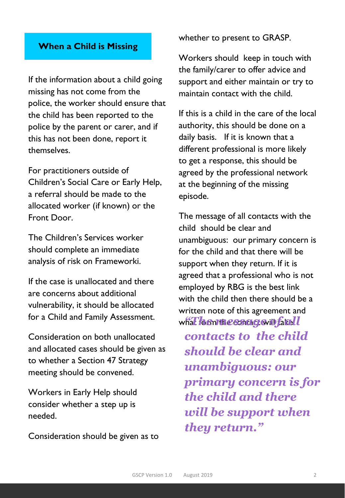#### **When a Child is Missing**

If the information about a child going missing has not come from the police, the worker should ensure that the child has been reported to the police by the parent or carer, and if this has not been done, report it themselves.

For practitioners outside of Children's Social Care or Early Help, a referral should be made to the allocated worker (if known) or the Front Door.

The Children's Services worker should complete an immediate analysis of risk on Frameworki.

If the case is unallocated and there are concerns about additional vulnerability, it should be allocated for a Child and Family Assessment.

Consideration on both unallocated and allocated cases should be given as to whether a Section 47 Strategy meeting should be convened.

Workers in Early Help should consider whether a step up is needed.

Consideration should be given as to

whether to present to GRASP.

Workers should keep in touch with the family/carer to offer advice and support and either maintain or try to maintain contact with the child.

If this is a child in the care of the local authority, this should be done on a daily basis. If it is known that a different professional is more likely to get a response, this should be agreed by the professional network at the beginning of the missing episode.

The message of all contacts with the child should be clear and unambiguous: our primary concern is for the child and that there will be support when they return. If it is agreed that a professional who is not employed by RBG is the best link with the child then there should be a written note of this agreement and what form the contact will take. *"The message of all* 

*contacts to the child should be clear and unambiguous: our primary concern is for the child and there will be support when they return."*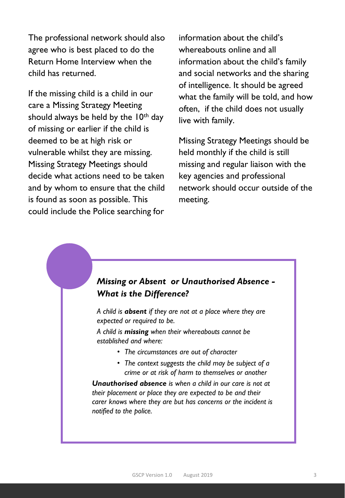The professional network should also agree who is best placed to do the Return Home Interview when the child has returned.

If the missing child is a child in our care a Missing Strategy Meeting should always be held by the  $10<sup>th</sup>$  day of missing or earlier if the child is deemed to be at high risk or vulnerable whilst they are missing. Missing Strategy Meetings should decide what actions need to be taken and by whom to ensure that the child is found as soon as possible. This could include the Police searching for

information about the child's whereabouts online and all information about the child's family and social networks and the sharing of intelligence. It should be agreed what the family will be told, and how often, if the child does not usually live with family.

Missing Strategy Meetings should be held monthly if the child is still missing and regular liaison with the key agencies and professional network should occur outside of the meeting.

#### *Missing or Absent or Unauthorised Absence - What is the Difference?*

*A child is absent if they are not at a place where they are expected or required to be.* 

*A child is missing when their whereabouts cannot be established and where:*

- *The circumstances are out of character*
- *The context suggests the child may be subject of a crime or at risk of harm to themselves or another*

*Unauthorised absence is when a child in our care is not at their placement or place they are expected to be and their carer knows where they are but has concerns or the incident is notified to the police.*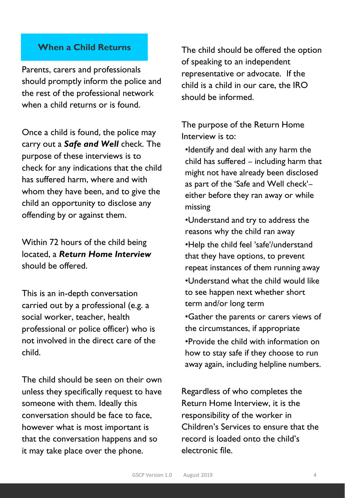#### **When a Child Returns**

Parents, carers and professionals should promptly inform the police and the rest of the professional network when a child returns or is found.

Once a child is found, the police may carry out a *Safe and Well* check. The purpose of these interviews is to check for any indications that the child has suffered harm, where and with whom they have been, and to give the child an opportunity to disclose any offending by or against them.

Within 72 hours of the child being located, a *Return Home Interview* should be offered.

This is an in-depth conversation carried out by a professional (e.g. a social worker, teacher, health professional or police officer) who is not involved in the direct care of the child.

The child should be seen on their own unless they specifically request to have someone with them. Ideally this conversation should be face to face, however what is most important is that the conversation happens and so it may take place over the phone.

The child should be offered the option of speaking to an independent representative or advocate. If the child is a child in our care, the IRO should be informed.

The purpose of the Return Home Interview is to:

•Identify and deal with any harm the child has suffered – including harm that might not have already been disclosed as part of the 'Safe and Well check'– either before they ran away or while missing

•Understand and try to address the reasons why the child ran away •Help the child feel 'safe'/understand that they have options, to prevent repeat instances of them running away •Understand what the child would like to see happen next whether short term and/or long term •Gather the parents or carers views of the circumstances, if appropriate •Provide the child with information on how to stay safe if they choose to run away again, including helpline numbers.

Regardless of who completes the Return Home Interview, it is the responsibility of the worker in Children's Services to ensure that the record is loaded onto the child's electronic file.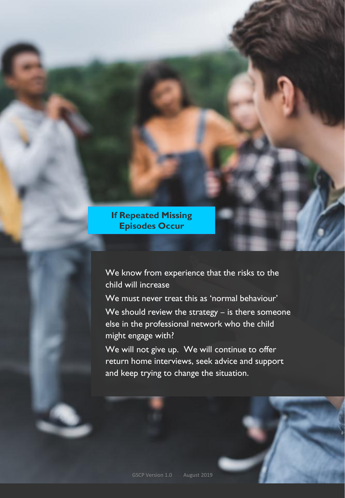**If Repeated Missing Episodes Occur**

We know from experience that the risks to the child will increase

We must never treat this as 'normal behaviour'

We should review the strategy – is there someone else in the professional network who the child might engage with?

We will not give up. We will continue to offer return home interviews, seek advice and support and keep trying to change the situation.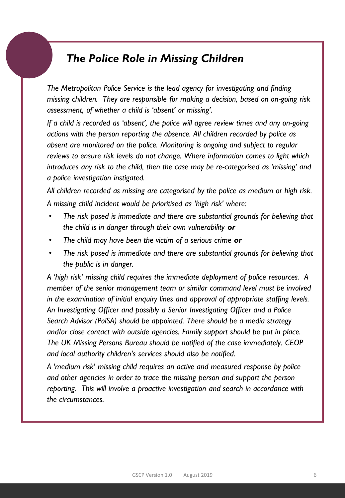### *The Police Role in Missing Children*

*The Metropolitan Police Service is the lead agency for investigating and finding missing children. They are responsible for making a decision, based on on-going risk assessment, of whether a child is 'absent' or missing'.*

*If a child is recorded as 'absent', the police will agree review times and any on-going actions with the person reporting the absence. All children recorded by police as absent are monitored on the police. Monitoring is ongoing and subject to regular reviews to ensure risk levels do not change. Where information comes to light which introduces any risk to the child, then the case may be re-categorised as 'missing' and a police investigation instigated.*

*All children recorded as missing are categorised by the police as medium or high risk. A missing child incident would be prioritised as 'high risk' where:*

- *The risk posed is immediate and there are substantial grounds for believing that the child is in danger through their own vulnerability or*
- *The child may have been the victim of a serious crime or*
- *The risk posed is immediate and there are substantial grounds for believing that the public is in danger.*

*A 'high risk' missing child requires the immediate deployment of police resources. A member of the senior management team or similar command level must be involved in the examination of initial enquiry lines and approval of appropriate staffing levels. An Investigating Officer and possibly a Senior Investigating Officer and a Police Search Advisor (PolSA) should be appointed. There should be a media strategy and/or close contact with outside agencies. Family support should be put in place. The UK Missing Persons Bureau should be notified of the case immediately. CEOP and local authority children's services should also be notified.*

*A 'medium risk' missing child requires an active and measured response by police and other agencies in order to trace the missing person and support the person reporting. This will involve a proactive investigation and search in accordance with the circumstances.*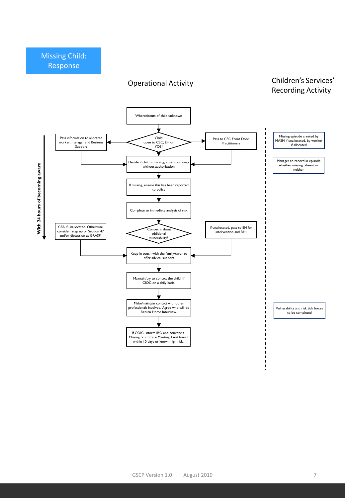#### Operational Activity

#### Children's Services' Recording Activity